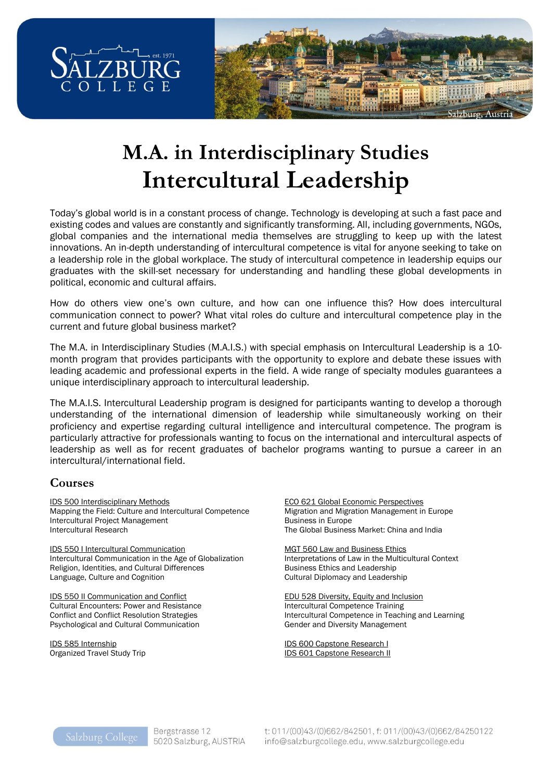

# **M.A. in Interdisciplinary Studies Intercultural Leadership**

Today's global world is in a constant process of change. Technology is developing at such a fast pace and existing codes and values are constantly and significantly transforming. All, including governments, NGOs, global companies and the international media themselves are struggling to keep up with the latest innovations. An in-depth understanding of intercultural competence is vital for anyone seeking to take on a leadership role in the global workplace. The study of intercultural competence in leadership equips our graduates with the skill-set necessary for understanding and handling these global developments in political, economic and cultural affairs.

How do others view one's own culture, and how can one influence this? How does intercultural communication connect to power? What vital roles do culture and intercultural competence play in the current and future global business market?

The M.A. in Interdisciplinary Studies (M.A.I.S.) with special emphasis on Intercultural Leadership is a 10 month program that provides participants with the opportunity to explore and debate these issues with leading academic and professional experts in the field. A wide range of specialty modules guarantees a unique interdisciplinary approach to intercultural leadership.

The M.A.I.S. Intercultural Leadership program is designed for participants wanting to develop a thorough understanding of the international dimension of leadership while simultaneously working on their proficiency and expertise regarding cultural intelligence and intercultural competence. The program is particularly attractive for professionals wanting to focus on the international and intercultural aspects of leadership as well as for recent graduates of bachelor programs wanting to pursue a career in an intercultural/international field.

## **Courses**

IDS 500 Interdisciplinary Methods Mapping the Field: Culture and Intercultural Competence Intercultural Project Management Intercultural Research

IDS 550 I Intercultural Communication Intercultural Communication in the Age of Globalization Religion, Identities, and Cultural Differences Language, Culture and Cognition

IDS 550 II Communication and Conflict Cultural Encounters: Power and Resistance Conflict and Conflict Resolution Strategies Psychological and Cultural Communication

IDS 585 Internship Organized Travel Study Trip ECO 621 Global Economic Perspectives Migration and Migration Management in Europe Business in Europe The Global Business Market: China and India

MGT 560 Law and Business Ethics Interpretations of Law in the Multicultural Context Business Ethics and Leadership Cultural Diplomacy and Leadership

EDU 528 Diversity, Equity and Inclusion Intercultural Competence Training Intercultural Competence in Teaching and Learning Gender and Diversity Management

IDS 600 Capstone Research I IDS 601 Capstone Research II